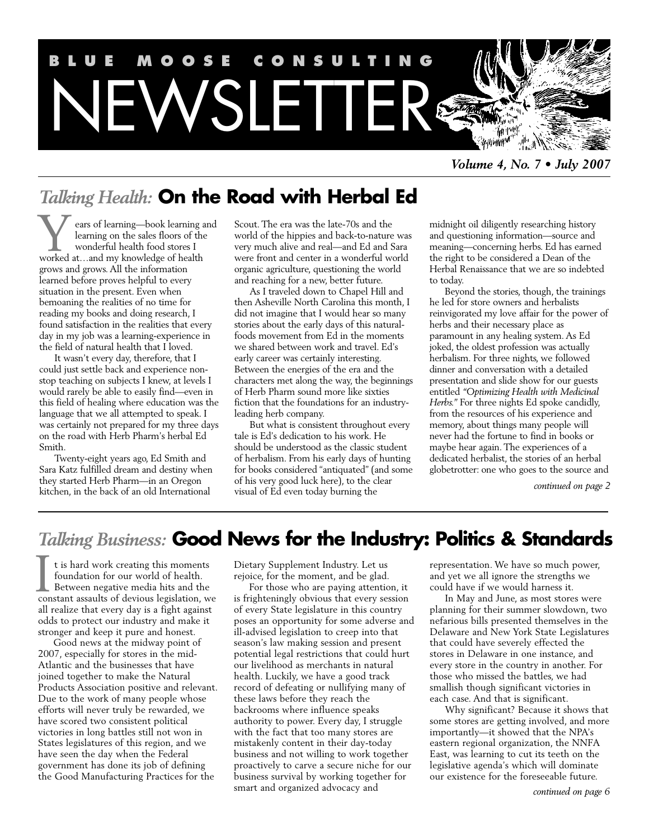

*Volume 4, No. 7 • July 2007*

# *Talking Health:* **On the Road with Herbal Ed**

ears of learning—book learning and learning on the sales floors of the wonderful health food stores I Wears of learning—book learning<br>learning on the sales floors of th<br>worked at…and my knowledge of health grows and grows. All the information learned before proves helpful to every situation in the present. Even when bemoaning the realities of no time for reading my books and doing research, I found satisfaction in the realities that every day in my job was a learning-experience in the field of natural health that I loved.

It wasn't every day, therefore, that I could just settle back and experience nonstop teaching on subjects I knew, at levels I would rarely be able to easily find—even in this field of healing where education was the language that we all attempted to speak. I was certainly not prepared for my three days on the road with Herb Pharm's herbal Ed Smith.

Twenty-eight years ago, Ed Smith and Sara Katz fulfilled dream and destiny when they started Herb Pharm—in an Oregon kitchen, in the back of an old International

Scout. The era was the late-70s and the world of the hippies and back-to-nature was very much alive and real—and Ed and Sara were front and center in a wonderful world organic agriculture, questioning the world and reaching for a new, better future.

As I traveled down to Chapel Hill and then Asheville North Carolina this month, I did not imagine that I would hear so many stories about the early days of this naturalfoods movement from Ed in the moments we shared between work and travel. Ed's early career was certainly interesting. Between the energies of the era and the characters met along the way, the beginnings of Herb Pharm sound more like sixties fiction that the foundations for an industryleading herb company.

But what is consistent throughout every tale is Ed's dedication to his work. He should be understood as the classic student of herbalism. From his early days of hunting for books considered "antiquated" (and some of his very good luck here), to the clear visual of Ed even today burning the

midnight oil diligently researching history and questioning information—source and meaning—concerning herbs. Ed has earned the right to be considered a Dean of the Herbal Renaissance that we are so indebted to today.

Beyond the stories, though, the trainings he led for store owners and herbalists reinvigorated my love affair for the power of herbs and their necessary place as paramount in any healing system. As Ed joked, the oldest profession was actually herbalism. For three nights, we followed dinner and conversation with a detailed presentation and slide show for our guests entitled *"Optimizing Health with Medicinal Herbs."* For three nights Ed spoke candidly, from the resources of his experience and memory, about things many people will never had the fortune to find in books or maybe hear again. The experiences of a dedicated herbalist, the stories of an herbal globetrotter: one who goes to the source and

*continued on page 2*

# *Talking Business:* **Good News for the Industry: Politics & Standards**

t is hard work creating this moments foundation for our world of health. Between negative media hits and the I t is hard work creating this moments<br>foundation for our world of health.<br>Between negative media hits and the<br>constant assaults of devious legislation, we all realize that every day is a fight against odds to protect our industry and make it stronger and keep it pure and honest.

Good news at the midway point of 2007, especially for stores in the mid-Atlantic and the businesses that have joined together to make the Natural Products Association positive and relevant. Due to the work of many people whose efforts will never truly be rewarded, we have scored two consistent political victories in long battles still not won in States legislatures of this region, and we have seen the day when the Federal government has done its job of defining the Good Manufacturing Practices for the

Dietary Supplement Industry. Let us rejoice, for the moment, and be glad.

For those who are paying attention, it is frighteningly obvious that every session of every State legislature in this country poses an opportunity for some adverse and ill-advised legislation to creep into that season's law making session and present potential legal restrictions that could hurt our livelihood as merchants in natural health. Luckily, we have a good track record of defeating or nullifying many of these laws before they reach the backrooms where influence speaks authority to power. Every day, I struggle with the fact that too many stores are mistakenly content in their day-today business and not willing to work together proactively to carve a secure niche for our business survival by working together for smart and organized advocacy and

representation. We have so much power, and yet we all ignore the strengths we could have if we would harness it.

In May and June, as most stores were planning for their summer slowdown, two nefarious bills presented themselves in the Delaware and New York State Legislatures that could have severely effected the stores in Delaware in one instance, and every store in the country in another. For those who missed the battles, we had smallish though significant victories in each case. And that is significant.

Why significant? Because it shows that some stores are getting involved, and more importantly—it showed that the NPA's eastern regional organization, the NNFA East, was learning to cut its teeth on the legislative agenda's which will dominate our existence for the foreseeable future.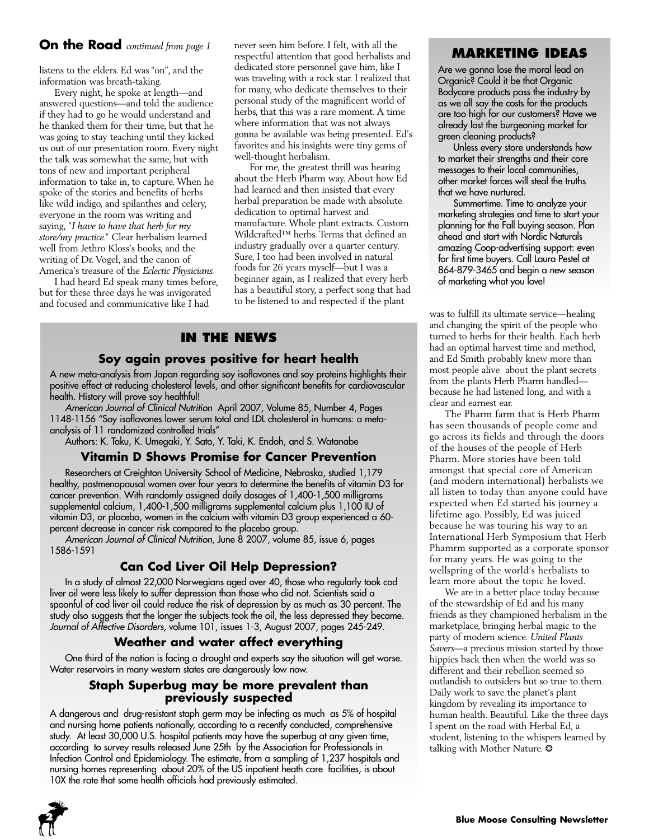## **On the Road** *continued from page 1*

listens to the elders. Ed was "on", and the information was breath-taking.

Every night, he spoke at length—and answered questions—and told the audience if they had to go he would understand and he thanked them for their time, but that he was going to stay teaching until they kicked us out of our presentation room. Every night the talk was somewhat the same, but with tons of new and important peripheral information to take in, to capture. When he spoke of the stories and benefits of herbs like wild indigo, and spilanthes and celery, everyone in the room was writing and saying, "*I have to have that herb for my store/my practice.*" Clear herbalism learned well from Jethro Kloss's books, and the writing of Dr. Vogel, and the canon of America's treasure of the *Eclectic Physicians.*

I had heard Ed speak many times before, but for these three days he was invigorated and focused and communicative like I had

never seen him before. I felt, with all the respectful attention that good herbalists and dedicated store personnel gave him, like I was traveling with a rock star. I realized that for many, who dedicate themselves to their personal study of the magnificent world of herbs, that this was a rare moment. A time where information that was not always gonna be available was being presented. Ed's favorites and his insights were tiny gems of well-thought herbalism.

For me, the greatest thrill was hearing about the Herb Pharm way. About how Ed had learned and then insisted that every herbal preparation be made with absolute dedication to optimal harvest and manufacture. Whole plant extracts. Custom Wildcrafted™ herbs. Terms that defined an industry gradually over a quarter century. Sure, I too had been involved in natural foods for 26 years myself—but I was a beginner again, as I realized that every herb has a beautiful story, a perfect song that had to be listened to and respected if the plant

## **IN THE NEWS**

## **Soy again proves positive for heart health**

A new meta-analysis from Japan regarding soy isoflavones and soy proteins highlights their positive effect at reducing cholesterol levels, and other significant benefits for cardiovascular health. History will prove soy healthful!

*American Journal of Clinical Nutrition* April 2007, Volume 85, Number 4, Pages 1148-1156 "Soy isoflavones lower serum total and LDL cholesterol in humans: a metaanalysis of 11 randomized controlled trials"

Authors: K. Taku, K. Umegaki, Y. Sato, Y. Taki, K. Endoh, and S. Watanabe

## **Vitamin D Shows Promise for Cancer Prevention**

Researchers at Creighton University School of Medicine, Nebraska, studied 1,179 healthy, postmenopausal women over four years to determine the benefits of vitamin D3 for cancer prevention. With randomly assigned daily dosages of 1,400-1,500 milligrams supplemental calcium, 1,400-1,500 milligrams supplemental calcium plus 1,100 IU of vitamin D3, or placebo, women in the calcium with vitamin D3 group experienced a 60 percent decrease in cancer risk compared to the placebo group.

*American Journal of Clinical Nutrition*, June 8 2007, volume 85, issue 6, pages 1586-1591

## **Can Cod Liver Oil Help Depression?**

In a study of almost 22,000 Norwegians aged over 40, those who regularly took cod liver oil were less likely to suffer depression than those who did not. Scientists said a spoonful of cod liver oil could reduce the risk of depression by as much as 30 percent. The study also suggests that the longer the subjects took the oil, the less depressed they became. *Journal of Affective Disorders*, volume 101, issues 1-3, August 2007, pages 245-249.

#### **Weather and water affect everything**

One third of the nation is facing a drought and experts say the situation will get worse. Water reservoirs in many western states are dangerously low now.

#### **Staph Superbug may be more prevalent than previously suspected**

A dangerous and drug-resistant staph germ may be infecting as much as 5% of hospital and nursing home patients nationally, according to a recently conducted, comprehensive study. At least 30,000 U.S. hospital patients may have the superbug at any given time, according to survey results released June 25th by the Association for Professionals in Infection Control and Epidemiology. The estimate, from a sampling of 1,237 hospitals and nursing homes representing about 20% of the US inpatient heath care facilities, is about 10X the rate that some health officials had previously estimated.



## **MARKETING IDEAS**

Are we gonna lose the moral lead on Organic? Could it be that Organic Bodycare products pass the industry by as we all say the costs for the products are too high for our customers? Have we already lost the burgeoning market for green cleaning products?

Unless every store understands how to market their strengths and their core messages to their local communities, other market forces will steal the truths that we have nurtured.

Summertime. Time to analyze your marketing strategies and time to start your planning for the Fall buying season. Plan ahead and start with Nordic Naturals amazing Coop-advertising support: even for first time buyers. Call Laura Pestel at 864-879-3465 and begin a new season of marketing what you love!

was to fulfill its ultimate service—healing and changing the spirit of the people who turned to herbs for their health. Each herb had an optimal harvest time and method, and Ed Smith probably knew more than most people alive about the plant secrets from the plants Herb Pharm handled because he had listened long, and with a clear and earnest ear.

The Pharm farm that is Herb Pharm has seen thousands of people come and go across its fields and through the doors of the houses of the people of Herb Pharm. More stories have been told amongst that special core of American (and modern international) herbalists we all listen to today than anyone could have expected when Ed started his journey a lifetime ago. Possibly, Ed was juiced because he was touring his way to an International Herb Symposium that Herb Phamrm supported as a corporate sponsor for many years. He was going to the wellspring of the world's herbalists to learn more about the topic he loved.

We are in a better place today because of the stewardship of Ed and his many friends as they championed herbalism in the marketplace, bringing herbal magic to the party of modern science. *United Plants Savers*—a precious mission started by those hippies back then when the world was so different and their rebellion seemed so outlandish to outsiders but so true to them. Daily work to save the planet's plant kingdom by revealing its importance to human health. Beautiful. Like the three days I spent on the road with Herbal Ed, a student, listening to the whispers learned by talking with Mother Nature.  $\odot$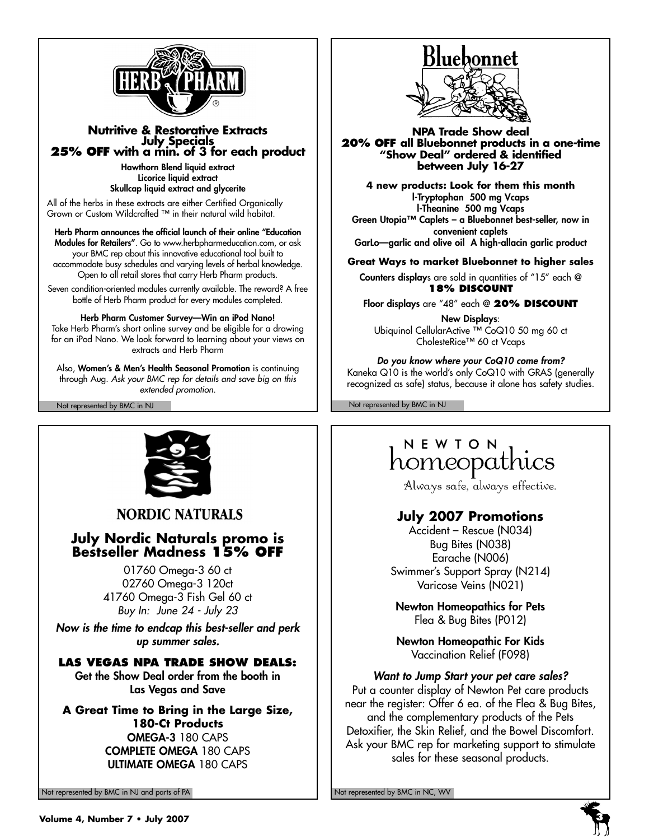

## **Nutritive & Restorative Extracts 25% OFF** with a min. of 3 for each product

**Hawthorn Blend liquid extract Licorice liquid extract Skullcap liquid extract and glycerite** 

All of the herbs in these extracts are either Certified Organically Grown or Custom Wildcrafted ™ in their natural wild habitat.

**Herb Pharm announces the official launch of their online "Education Modules for Retailers"**. Go to www.herbpharmeducation.com, or ask your BMC rep about this innovative educational tool built to accommodate busy schedules and varying levels of herbal knowledge. Open to all retail stores that carry Herb Pharm products.

Seven condition-oriented modules currently available. The reward? A free bottle of Herb Pharm product for every modules completed.

**Herb Pharm Customer Survey—Win an iPod Nano!** Take Herb Pharm's short online survey and be eligible for a drawing for an iPod Nano. We look forward to learning about your views on extracts and Herb Pharm

Also, **Women's & Men's Health Seasonal Promotion** is continuing through Aug. *Ask your BMC rep for details and save big on this extended promotion.*



**NORDIC NATURALS** 

## **July Nordic Naturals promo is Bestseller Madness 15% OFF**

01760 Omega-3 60 ct 02760 Omega-3 120ct 41760 Omega-3 Fish Gel 60 ct *Buy In: June 24 - July 23*

*Now is the time to endcap this best-seller and perk up summer sales.*

## **LAS VEGAS NPA TRADE SHOW DEALS:**

**Get the Show Deal order from the booth in Las Vegas and Save**

**A Great Time to Bring in the Large Size, 180-Ct Products OMEGA-3** 180 CAPS **COMPLETE OMEGA** 180 CAPS **ULTIMATE OMEGA** 180 CAPS

Not represented by BMC in NJ and parts of PA Not represented by BMC in NC, WV Not represented by BMC in NC, WV



**NPA Trade Show deal 20% OFF all Bluebonnet products in a one-time "Show Deal" ordered & identified between July 16-27**

**4 new products: Look for them this month l-Tryptophan 500 mg Vcaps l-Theanine 500 mg Vcaps Green Utopia™ Caplets – a Bluebonnet best-seller, now in convenient caplets GarLo—garlic and olive oil A high-allacin garlic product**

**Great Ways to market Bluebonnet to higher sales**

**Counters display**s are sold in quantities of "15" each @ **18% DISCOUNT** 

**Floor displays** are "48" each @ **20% DISCOUNT**

**New Displays**: Ubiquinol CellularActive ™ CoQ10 50 mg 60 ct CholesteRice™ 60 ct Vcaps

*Do you know where your CoQ10 come from?* Kaneka Q10 is the world's only CoQ10 with GRAS (generally recognized as safe) status, because it alone has safety studies.

Not represented by BMC in NJ Not represented by BMC in NJ

# NEWTON homeopathics

Always safe, always effective.

## **July 2007 Promotions**

Accident – Rescue (N034) Bug Bites (N038) Earache (N006) Swimmer's Support Spray (N214) Varicose Veins (N021)

**Newton Homeopathics for Pets** Flea & Bug Bites (P012)

**Newton Homeopathic For Kids** Vaccination Relief (F098)

*Want to Jump Start your pet care sales?* Put a counter display of Newton Pet care products near the register: Offer 6 ea. of the Flea & Bug Bites, and the complementary products of the Pets Detoxifier, the Skin Relief, and the Bowel Discomfort. Ask your BMC rep for marketing support to stimulate sales for these seasonal products.

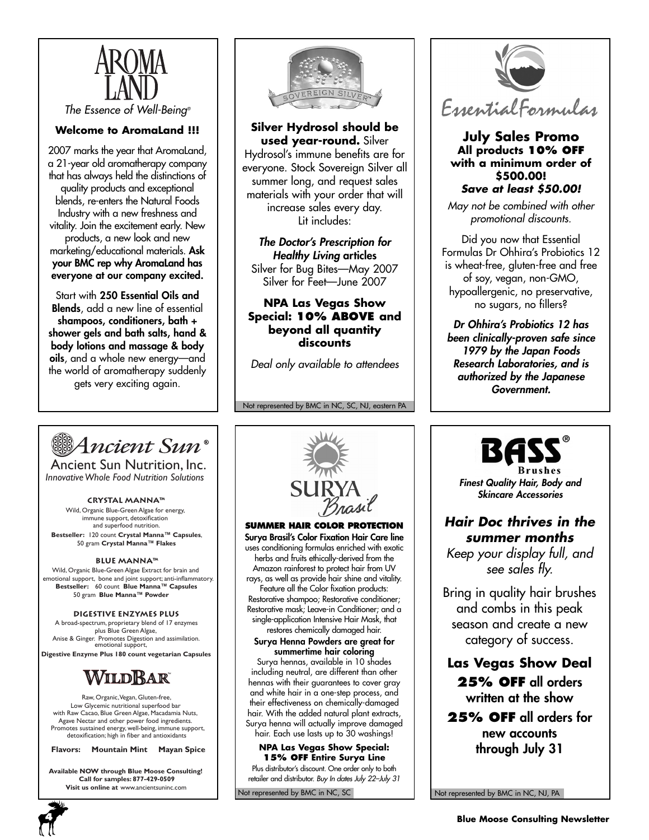

*The Essence of Well-Being®*

## **Welcome to AromaLand !!!**

2007 marks the year that AromaLand, a 21-year old aromatherapy company that has always held the distinctions of quality products and exceptional blends, re-enters the Natural Foods Industry with a new freshness and vitality. Join the excitement early. New products, a new look and new marketing/educational materials. **Ask your BMC rep why AromaLand has everyone at our company excited.**

Start with **250 Essential Oils and Blends**, add a new line of essential **shampoos, conditioners, bath + shower gels and bath salts, hand & body lotions and massage & body oils**, and a whole new energy—and the world of aromatherapy suddenly gets very exciting again.



**Silver Hydrosol should be used year-round.** Silver Hydrosol's immune benefits are for everyone. Stock Sovereign Silver all summer long, and request sales materials with your order that will increase sales every day. Lit includes:

*The Doctor's Prescription for Healthy Living* **articles** Silver for Bug Bites—May 2007 Silver for Feet—June 2007

**NPA Las Vegas Show Special: 10% ABOVE and beyond all quantity discounts**

*Deal only available to attendees*

Not represented by BMC in NC, SC, NJ, eastern PA

EssentialFormulas

#### **July Sales Promo All products 10% OFF with a minimum order of \$500.00!** *Save at least \$50.00!*

*May not be combined with other promotional discounts.*

Did you now that Essential Formulas Dr Ohhira's Probiotics 12 is wheat-free, gluten-free and free of soy, vegan, non-GMO, hypoallergenic, no preservative, no sugars, no fillers?

*Dr Ohhira's Probiotics 12 has been clinically-proven safe since 1979 by the Japan Foods Research Laboratories, and is authorized by the Japanese Government.*



Ancient Sun Nutrition, Inc. *Innovative Whole Food Nutrition Solutions*

#### **Crystal Manna™**

Wild, Organic Blue-Green Algae for energy, immune support, detoxification and superfood nutrition. **Bestseller:** 120 count **Crystal Manna™ Capsules**, 50 gram **Crystal Manna™ Flakes**

#### **Blue Manna™**

Wild, Organic Blue-Green Algae Extract for brain and emotional support, bone and joint support; anti-inflammatory. **Bestseller:** 60 count **Blue Manna™ Capsules** 50 gram **Blue Manna™ Powder**

#### **Digestive Enzymes Plus**

emotional support, A broad-spectrum, proprietary blend of 17 enzymes plus Blue Green Algae, Anise & Ginger. Promotes Digestion and assimilation.

**Digestive Enzyme Plus 180 count vegetarian Capsules**



Raw, Organic, Vegan, Gluten-free, Low Glycemic nutritional superfood bar with Raw Cacao, Blue Green Algae, Macadamia Nuts, Agave Nectar and other power food ingredients. Promotes sustained energy, well-being, immune support, detoxification; high in fiber and antioxidants

**Flavors: Mountain Mint Mayan Spice**

**Available NOW through Blue Moose Consulting! Call for samples: 877-429-0509 Visit us online at** www.ancientsuninc.com



**SUMMER HAIR COLOR PROTECTION Surya Brasil's Color Fixation Hair Care line** uses conditioning formulas enriched with exotic herbs and fruits ethically-derived from the Amazon rainforest to protect hair from UV rays, as well as provide hair shine and vitality. Feature all the Color fixation products: Restorative shampoo; Restorative conditioner; Restorative mask; Leave-in Conditioner; and a single-application Intensive Hair Mask, that restores chemically damaged hair.

**Surya Henna Powders are great for summertime hair coloring**

Surya hennas, available in 10 shades including neutral, are different than other hennas with their guarantees to cover gray and white hair in a one-step process, and their effectiveness on chemically-damaged hair. With the added natural plant extracts, Surya henna will actually improve damaged hair. Each use lasts up to 30 washings!

**NPA Las Vegas Show Special: 15% OFF Entire Surya Line**  Plus distributor's discount. One order only to both retailer and distributor. *Buy In dates July 22–July 31*

Not represented by BMC in NC, SC



*Finest Quality Hair, Body and Skincare Accessories*

## *Hair Doc thrives in the summer months*

*Keep your display full, and see sales fly.*

Bring in quality hair brushes and combs in this peak season and create a new category of success.

**Las Vegas Show Deal 25% OFF all orders written at the show**

**25% OFF all orders for new accounts through July 31**

Not represented by BMC in NC, NJ, PA

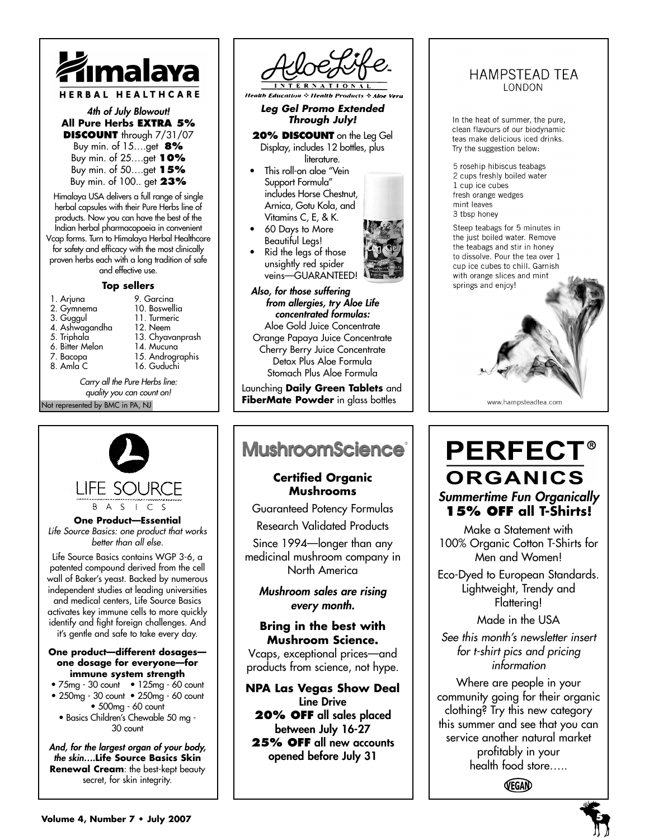

#### *4th of July Blowout!*  **All Pure Herbs EXTRA 5% DISCOUNT** through 7/31/07

Buy min. of 15….get **8%** Buy min. of 25….get **10%** Buy min. of 50….get **15%** Buy min. of 100.. get **23%**

Himalaya USA delivers a full range of single herbal capsules with their Pure Herbs line of products. Now you can have the best of the Indian herbal pharmacopoeia in convenient Vcap forms. Turn to Himalaya Herbal Healthcare for safety and efficacy with the most clinically proven herbs each with a long tradition of safe and effective use.

#### **Top sellers**

| 1. Arjuna                     | 9. Garcina       |  |
|-------------------------------|------------------|--|
| 2. Gymnema                    | 10. Boswellia    |  |
| 3. Guggul                     | 11. Turmeric     |  |
| 4. Ashwagandha                | 12. Neem         |  |
| 5. Triphala                   | 13. Chyavanprash |  |
| 6. Bitter Melon               | 14. Mucuna       |  |
| 7. Bacopa                     | 15. Andrographis |  |
| 8. Amla C                     | 16. Guduchi      |  |
| بمنثل ماسط مسترا مياط المرسمي |                  |  |

Not represented by BMC in PA, NJ *Carry all the Pure Herbs line: quality you can count on!*



**LIFE SOURCF** B A S I C S

**One Product—Essential** *Life Source Basics: one product that works better than all else.*

Life Source Basics contains WGP 3-6, a patented compound derived from the cell wall of Baker's yeast. Backed by numerous independent studies at leading universities and medical centers, Life Source Basics activates key immune cells to more quickly identify and fight foreign challenges. And it's gentle and safe to take every day.

#### **One product—different dosages one dosage for everyone—for immune system strength**

- 75mg 30 count 125mg 60 count • 250mg - 30 count • 250mg - 60 count
- 500mg 60 count
- Basics Children's Chewable 50 mg 30 count

*And, for the largest organ of your body, the skin….***Life Source Basics Skin Renewal Cream**: the best-kept beauty secret, for skin integrity.



**Health Education & Health Products & Aloe Vera** 

*Leg Gel Promo Extended Through July!*

**20% DISCOUNT** on the Leg Gel Display, includes 12 bottles, plus literature.

- This roll-on aloe "Vein Support Formula" includes Horse Chestnut, Arnica, Gotu Kola, and Vitamins C, E, & K.
- 60 Days to More Beautiful Legs!
- Rid the legs of those unsightly red spider veins—GUARANTEED!



*Also, for those suffering from allergies, try Aloe Life concentrated formulas:* Aloe Gold Juice Concentrate Orange Papaya Juice Concentrate Cherry Berry Juice Concentrate Detox Plus Aloe Formula

Stomach Plus Aloe Formula

Launching **Daily Green Tablets** and **FiberMate Powder** in glass bottles

# **MushroomScience**®

## **Certified Organic Mushrooms**

Guaranteed Potency Formulas Research Validated Products Since 1994—longer than any medicinal mushroom company in North America

*Mushroom sales are rising every month.*

## **Bring in the best with Mushroom Science.**

Vcaps, exceptional prices—and products from science, not hype.

**NPA Las Vegas Show Deal Line Drive 20% OFF all sales placed between July 16-27 25% OFF all new accounts opened before July 31**

## **HAMPSTEAD TEA** LONDON

In the heat of summer, the pure, clean flavours of our biodynamic teas make delicious iced drinks. Try the suggestion below:

5 rosehip hibiscus teabags 2 cups freshly boiled water 1 cup ice cubes fresh orange wedges mint leaves 3 tbsp honey

Steep teabags for 5 minutes in the just boiled water. Remove the teabags and stir in honey to dissolve. Pour the tea over 1 cup ice cubes to chill. Garnish with orange slices and mint springs and enjoy!

# **PERFECT® ORGANICS** *Summertime Fun Organically* **15% OFF all T-Shirts!**

www.hampsteadtea.com

Make a Statement with 100% Organic Cotton T-Shirts for Men and Women!

Eco-Dyed to European Standards. Lightweight, Trendy and Flattering!

Made in the USA

*See this month's newsletter insert for t-shirt pics and pricing information* 

Where are people in your community going for their organic clothing? Try this new category this summer and see that you can service another natural market profitably in your health food store…..

VEGAN

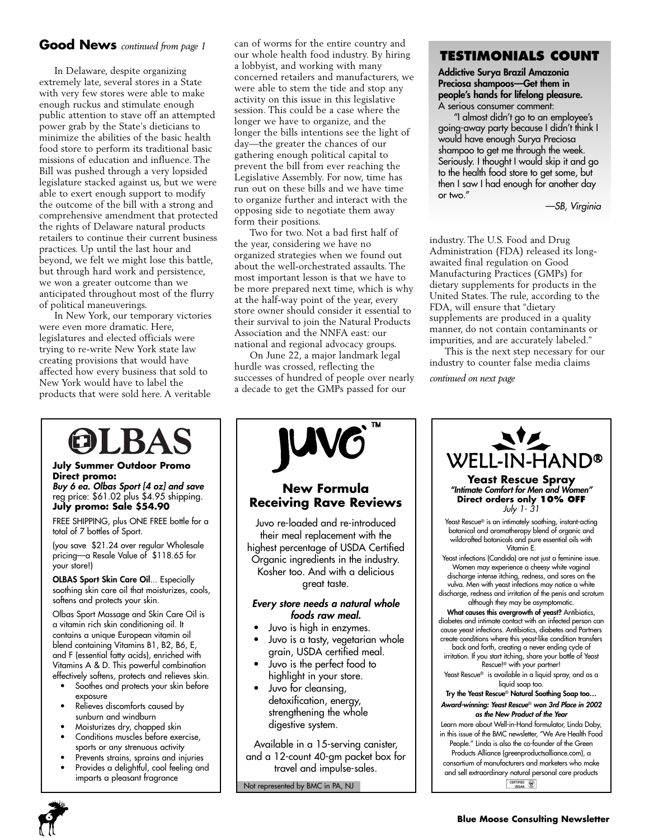## **Good News** *continued from page 1*

In Delaware, despite organizing extremely late, several stores in a State with very few stores were able to make enough ruckus and stimulate enough public attention to stave off an attempted power grab by the State's dieticians to minimize the abilities of the basic health food store to perform its traditional basic missions of education and influence. The Bill was pushed through a very lopsided legislature stacked against us, but we were able to exert enough support to modify the outcome of the bill with a strong and comprehensive amendment that protected the rights of Delaware natural products retailers to continue their current business practices. Up until the last hour and beyond, we felt we might lose this battle, but through hard work and persistence, we won a greater outcome than we anticipated throughout most of the flurry of political maneuverings.

In New York, our temporary victories were even more dramatic. Here, legislatures and elected officials were trying to re-write New York state law creating provisions that would have affected how every business that sold to New York would have to label the products that were sold here. A veritable

can of worms for the entire country and our whole health food industry. By hiring a lobbyist, and working with many concerned retailers and manufacturers, we were able to stem the tide and stop any activity on this issue in this legislative session. This could be a case where the longer we have to organize, and the longer the bills intentions see the light of day—the greater the chances of our gathering enough political capital to prevent the bill from ever reaching the Legislative Assembly. For now, time has run out on these bills and we have time to organize further and interact with the opposing side to negotiate them away form their positions.

Two for two. Not a bad first half of the year, considering we have no organized strategies when we found out about the well-orchestrated assaults. The most important lesson is that we have to be more prepared next time, which is why at the half-way point of the year, every store owner should consider it essential to their survival to join the Natural Products Association and the NNFA east: our national and regional advocacy groups.

On June 22, a major landmark legal hurdle was crossed, reflecting the successes of hundred of people over nearly a decade to get the GMPs passed for our

## **TESTIMONIALS COUNT**

**Addictive Surya Brazil Amazonia Preciosa shampoos—Get them in people's hands for lifelong pleasure.** A serious consumer comment:

"I almost didn't go to an employee's going-away party because I didn't think I would have enough Surya Preciosa shampoo to get me through the week. Seriously. I thought I would skip it and go to the health food store to get some, but then I saw I had enough for another day or two."

*—SB, Virginia*

industry. The U.S. Food and Drug Administration (FDA) released its longawaited final regulation on Good Manufacturing Practices (GMPs) for dietary supplements for products in the United States. The rule, according to the FDA, will ensure that "dietary supplements are produced in a quality manner, do not contain contaminants or impurities, and are accurately labeled."

This is the next step necessary for our industry to counter false media claims

*continued on next page*

# ILBA

#### **July Summer Outdoor Promo Direct promo:**

*Buy 6 ea. Olbas Sport [4 oz] and save*  reg price: \$61.02 plus \$4.95 shipping. **July promo: Sale \$54.90** 

FREE SHIPPING, plus ONE FREE bottle for a total of 7 bottles of Sport.

(you save \$21.24 over regular Wholesale pricing—a Resale Value of \$118.65 for your store!)

**OLBAS Sport Skin Care Oil**... Especially soothing skin care oil that moisturizes, cools, softens and protects your skin.

Olbas Sport Massage and Skin Care Oil is a vitamin rich skin conditioning oil. It contains a unique European vitamin oil blend containing Vitamins B1, B2, B6, E, and F (essential fatty acids), enriched with Vitamins A & D. This powerful combination effectively softens, protects and relieves skin.

- Soothes and protects your skin before exposure
- Relieves discomforts caused by sunburn and windburn
- Moisturizes dry, chapped skin
- Conditions muscles before exercise, sports or any strenuous activity
- Prevents strains, sprains and injuries
- Provides a delightful, cool feeling and imparts a pleasant fragrance



## **New Formula Receiving Rave Reviews**

Juvo re-loaded and re-introduced their meal replacement with the highest percentage of USDA Certified Organic ingredients in the industry. Kosher too. And with a delicious great taste.

#### *Every store needs a natural whole foods raw meal.*

- Juvo is high in enzymes.
- Juvo is a tasty, vegetarian whole grain, USDA certified meal.
- Juvo is the perfect food to highlight in your store.
- Juvo for cleansing, detoxification, energy, strengthening the whole digestive system.

Available in a 15-serving canister, and a 12-count 40-gm packet box for travel and impulse-sales.

Not represented by BMC in PA, NJ



CERTIFIED (

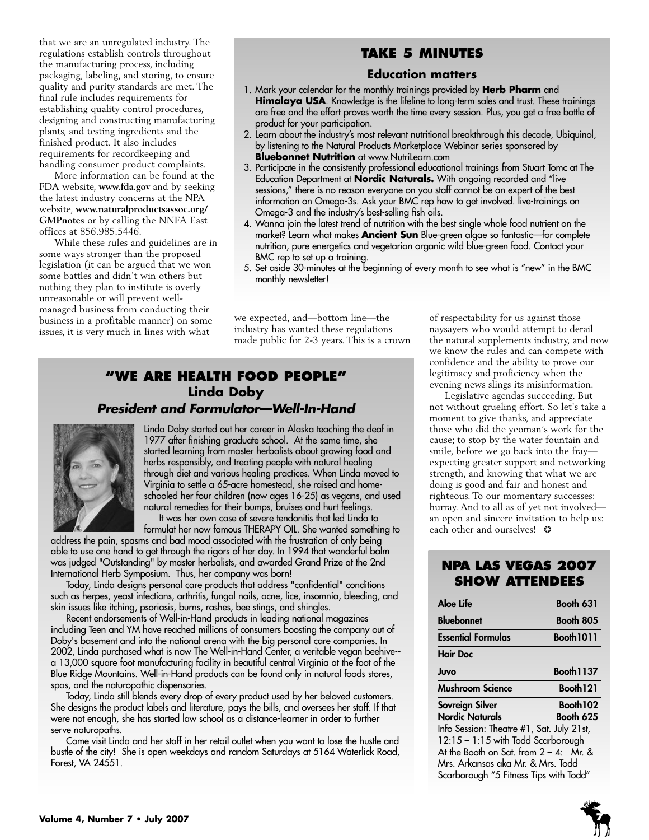that we are an unregulated industry. The regulations establish controls throughout the manufacturing process, including packaging, labeling, and storing, to ensure quality and purity standards are met. The final rule includes requirements for establishing quality control procedures, designing and constructing manufacturing plants, and testing ingredients and the finished product. It also includes requirements for recordkeeping and handling consumer product complaints.

More information can be found at the FDA website, **www.fda.gov** and by seeking the latest industry concerns at the NPA website, **www.naturalproductsassoc.org/ GMPnotes** or by calling the NNFA East offices at 856.985.5446.

While these rules and guidelines are in some ways stronger than the proposed legislation (it can be argued that we won some battles and didn't win others but nothing they plan to institute is overly unreasonable or will prevent wellmanaged business from conducting their business in a profitable manner) on some issues, it is very much in lines with what

## **TAKE 5 MINUTES**

#### **Education matters**

- 1. Mark your calendar for the monthly trainings provided by **Herb Pharm** and **Himalaya USA**. Knowledge is the lifeline to long-term sales and trust. These trainings are free and the effort proves worth the time every session. Plus, you get a free bottle of product for your participation.
- 2. Learn about the industry's most relevant nutritional breakthrough this decade, Ubiquinol, by listening to the Natural Products Marketplace Webinar series sponsored by **Bluebonnet Nutrition** at www.NutriLearn.com
- 3. Participate in the consistently professional educational trainings from Stuart Tomc at The Education Department at **Nordic Naturals.** With ongoing recorded and "live sessions," there is no reason everyone on you staff cannot be an expert of the best information on Omega-3s. Ask your BMC rep how to get involved. live-trainings on Omega-3 and the industry's best-selling fish oils.
- 4. Wanna join the latest trend of nutrition with the best single whole food nutrient on the market? Learn what makes **Ancient Sun** Blue-green algae so fantastic—for complete nutrition, pure energetics and vegetarian organic wild blue-green food. Contact your BMC rep to set up a training.
- 5. Set aside 30-minutes at the beginning of every month to see what is "new" in the BMC monthly newsletter!

we expected, and—bottom line—the industry has wanted these regulations made public for 2-3 years. This is a crown

## **"WE ARE HEALTH FOOD PEOPLE" Linda Doby** *President and Formulator—Well-In-Hand*



Linda Doby started out her career in Alaska teaching the deaf in 1977 after finishing graduate school. At the same time, she started learning from master herbalists about growing food and herbs responsibly, and treating people with natural healing through diet and various healing practices. When Linda moved to Virginia to settle a 65-acre homestead, she raised and homeschooled her four children (now ages 16-25) as vegans, and used natural remedies for their bumps, bruises and hurt feelings. It was her own case of severe tendonitis that led Linda to

formulat her now famous THERAPY OIL. She wanted something to

address the pain, spasms and bad mood associated with the frustration of only being able to use one hand to get through the rigors of her day. In 1994 that wonderful balm was judged "Outstanding" by master herbalists, and awarded Grand Prize at the 2nd International Herb Symposium. Thus, her company was born!

Today, Linda designs personal care products that address "confidential" conditions such as herpes, yeast infections, arthritis, fungal nails, acne, lice, insomnia, bleeding, and skin issues like itching, psoriasis, burns, rashes, bee stings, and shingles.

Recent endorsements of Well-in-Hand products in leading national magazines including Teen and YM have reached millions of consumers boosting the company out of Doby's basement and into the national arena with the big personal care companies. In 2002, Linda purchased what is now The Well-in-Hand Center, a veritable vegan beehive- a 13,000 square foot manufacturing facility in beautiful central Virginia at the foot of the Blue Ridge Mountains. Well-in-Hand products can be found only in natural foods stores, spas, and the naturopathic dispensaries.

Today, Linda still blends every drop of every product used by her beloved customers. She designs the product labels and literature, pays the bills, and oversees her staff. If that were not enough, she has started law school as a distance-learner in order to further serve naturopaths.

Come visit Linda and her staff in her retail outlet when you want to lose the hustle and bustle of the city! She is open weekdays and random Saturdays at 5164 Waterlick Road, Forest, VA 24551.

of respectability for us against those naysayers who would attempt to derail the natural supplements industry, and now we know the rules and can compete with confidence and the ability to prove our legitimacy and proficiency when the evening news slings its misinformation.

Legislative agendas succeeding. But not without grueling effort. So let's take a moment to give thanks, and appreciate those who did the yeoman's work for the cause; to stop by the water fountain and smile, before we go back into the fray expecting greater support and networking strength, and knowing that what we are doing is good and fair and honest and righteous. To our momentary successes: hurray. And to all as of yet not involved an open and sincere invitation to help us: each other and ourselves!  $\odot$ 

## **NPA LAS VEGAS 2007 SHOW ATTENDEES**

| Aloe Life                                 | <b>Booth 631</b>     |
|-------------------------------------------|----------------------|
| <b>Bluebonnet</b>                         | Booth 805            |
| Essential Formulas                        | <b>Booth 1011</b>    |
| <b>Hair Doc</b>                           |                      |
| Juvo                                      | <b>Booth 1137</b>    |
| Mushroom Science                          | Booth <sub>121</sub> |
| Sovreign Silver                           | Booth 102            |
| <b>Nordic Naturals</b>                    | Booth 625            |
| Info Session: Theatre #1, Sat. July 21st, |                      |
| 12:15 - 1:15 with Todd Scarborough        |                      |
| At the Booth on Sat. from $2 - 4$ : Mr. & |                      |
| Mrs. Arkansas aka Mr. & Mrs. Todd         |                      |
| Scarborough "5 Fitness Tips with Todd"    |                      |